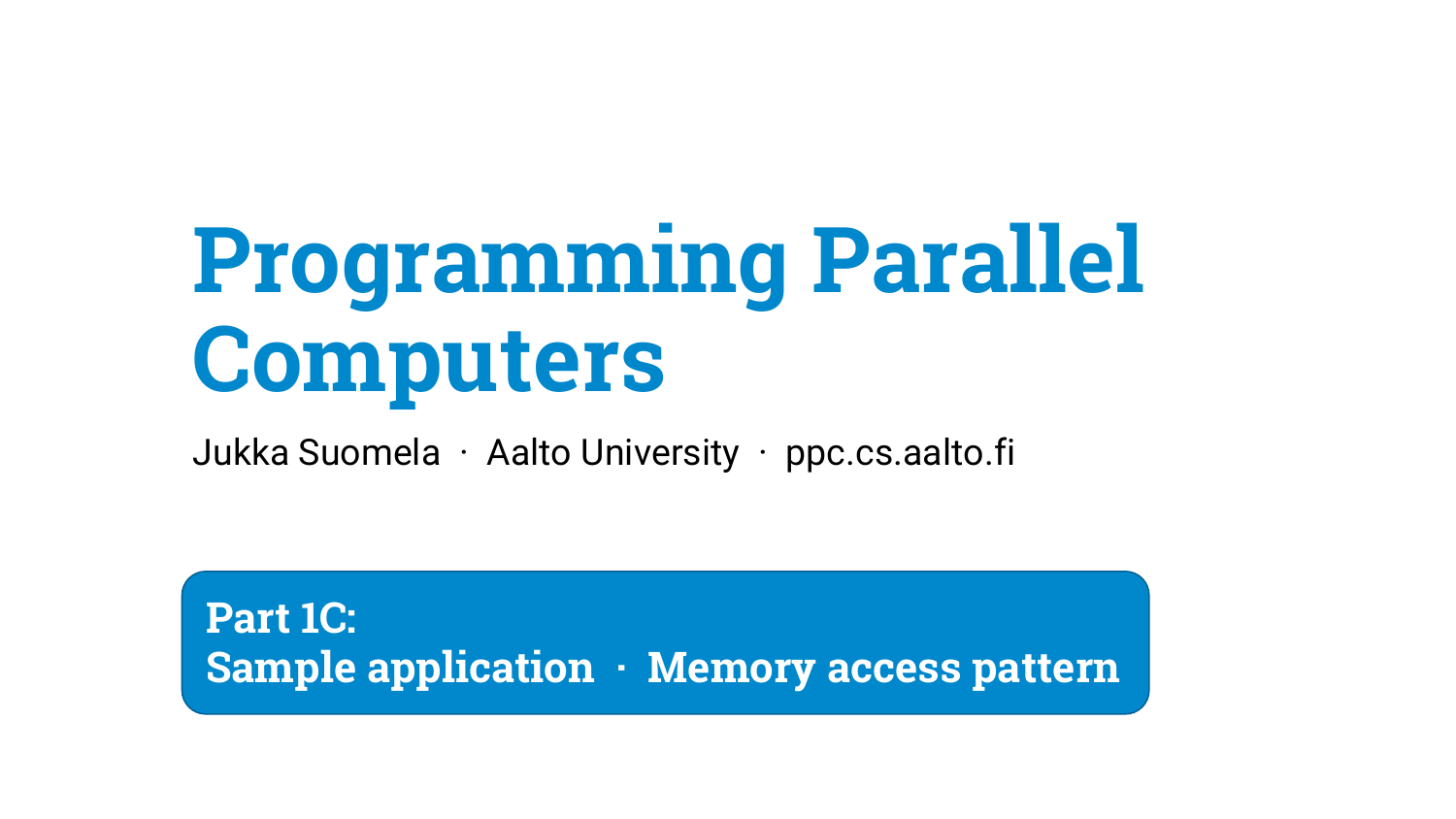# **Programming Parallel Computers**

Jukka Suomela · Aalto University · ppc.cs.aalto.fi

**Part 1C: Sample application · Memory access pattern**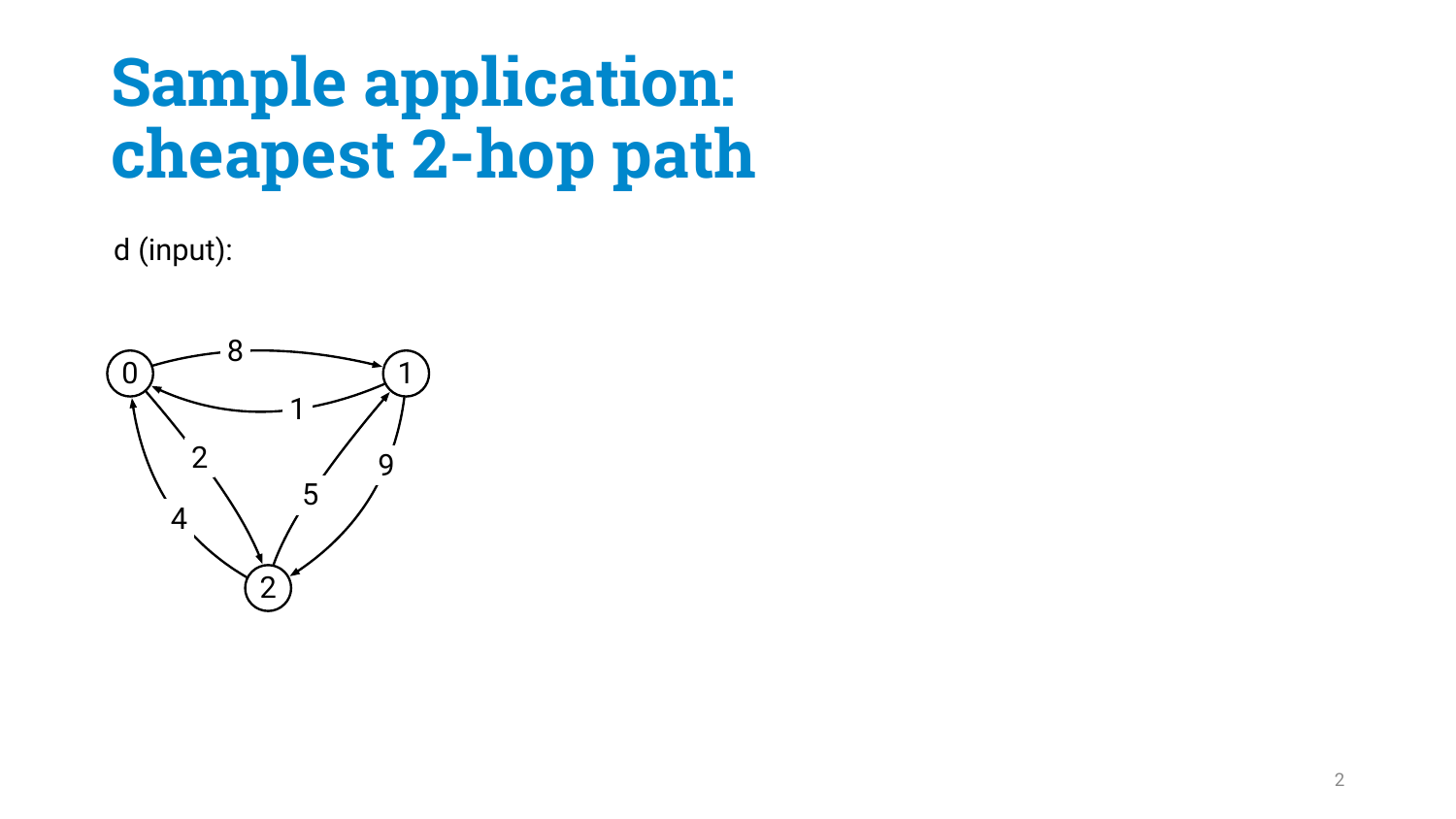d (input):

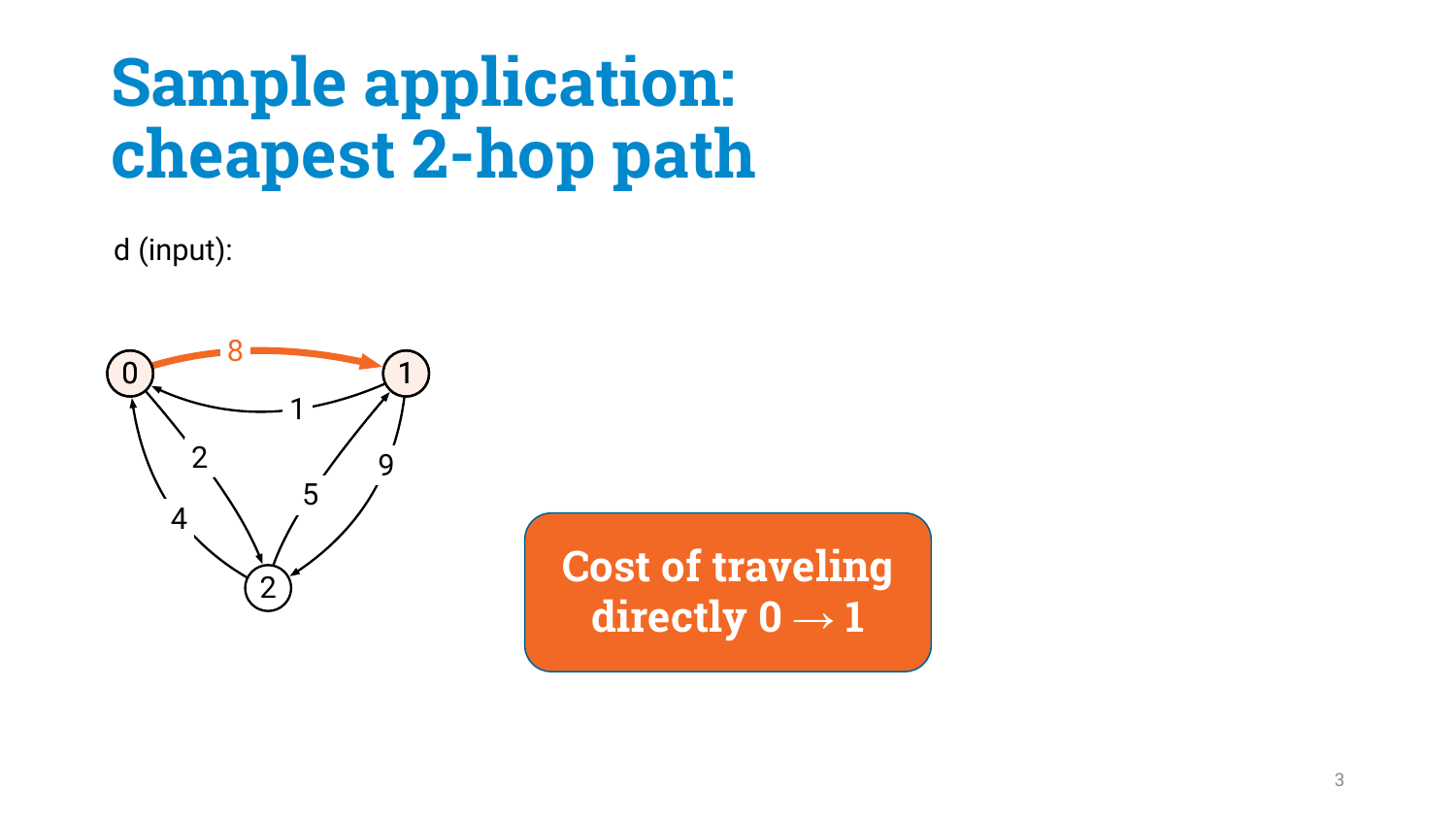d (input):



**Cost of traveling** directly  $0 \rightarrow 1$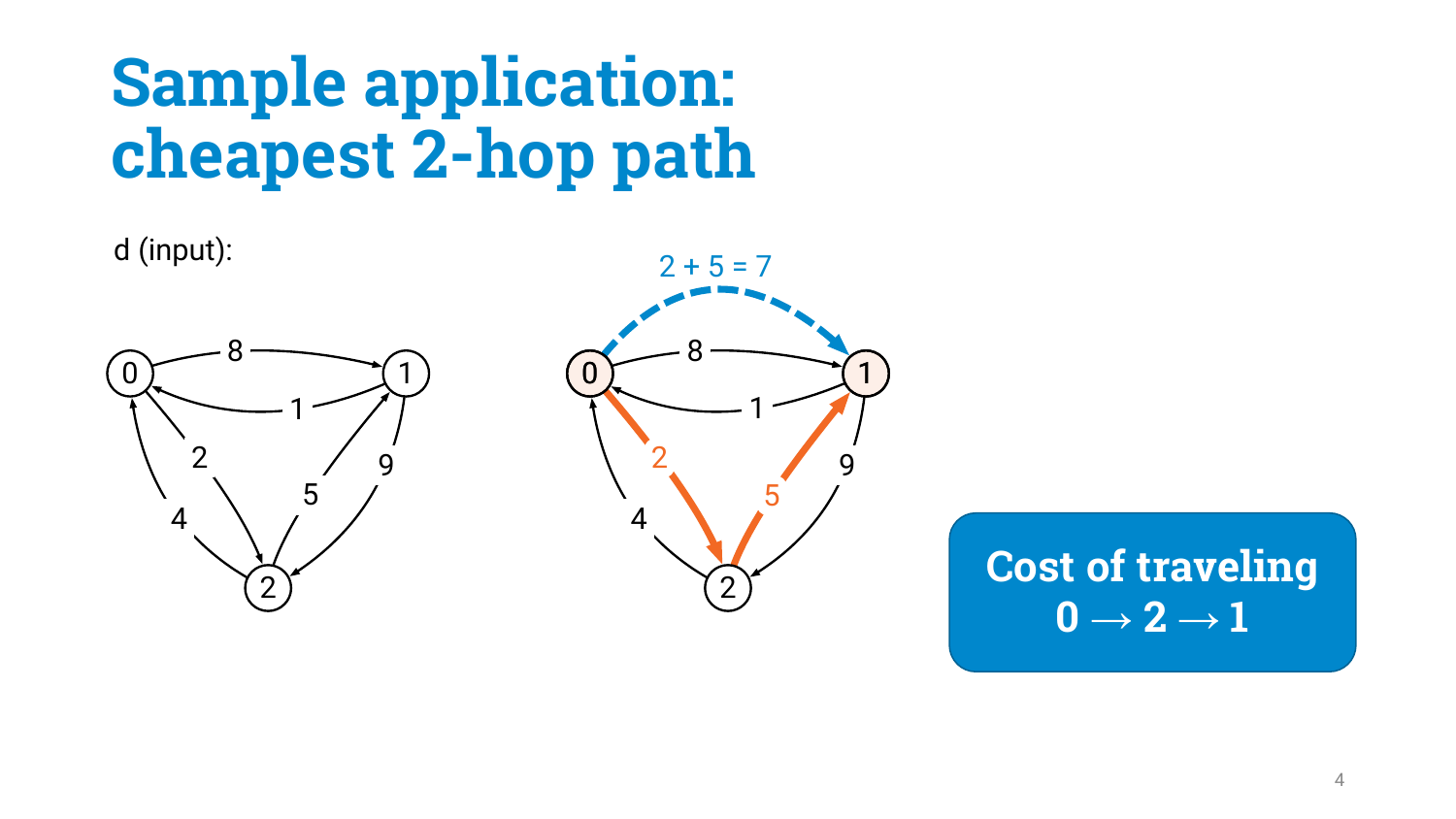d (input): (  $1$  ) (  $0$ 



**Cost of traveling**  $0 \rightarrow 2 \rightarrow 1$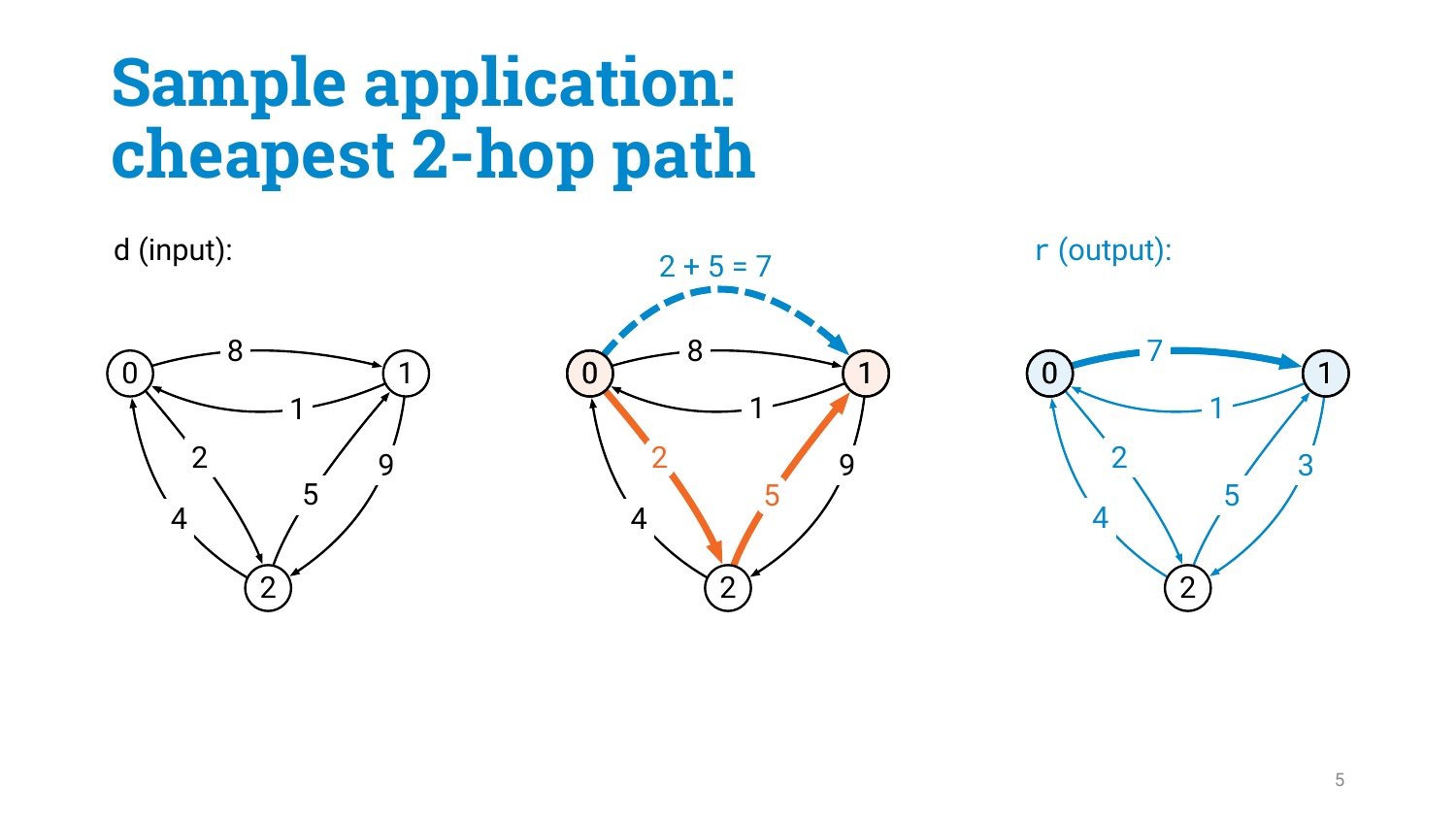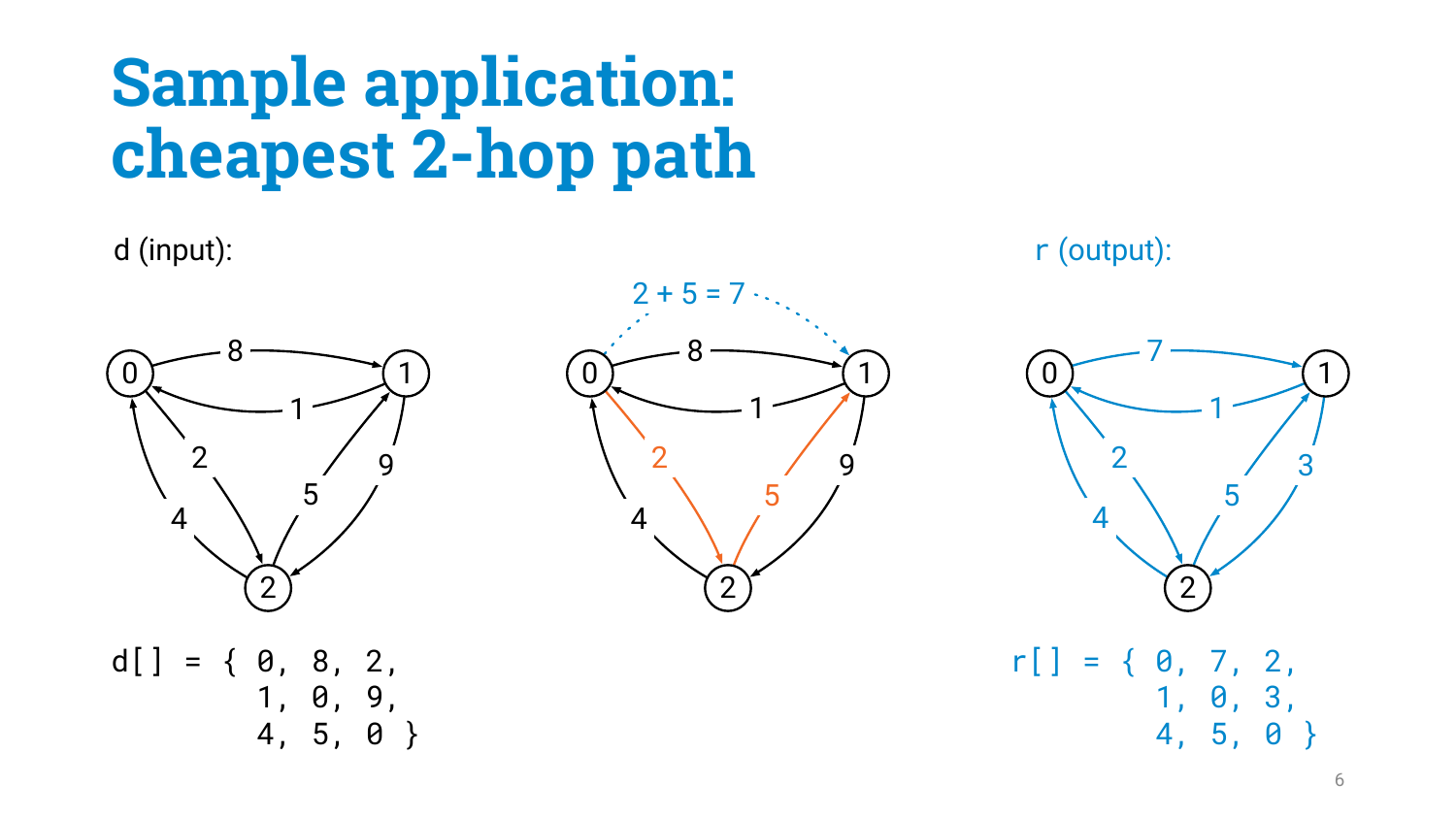







4, 5, 0 }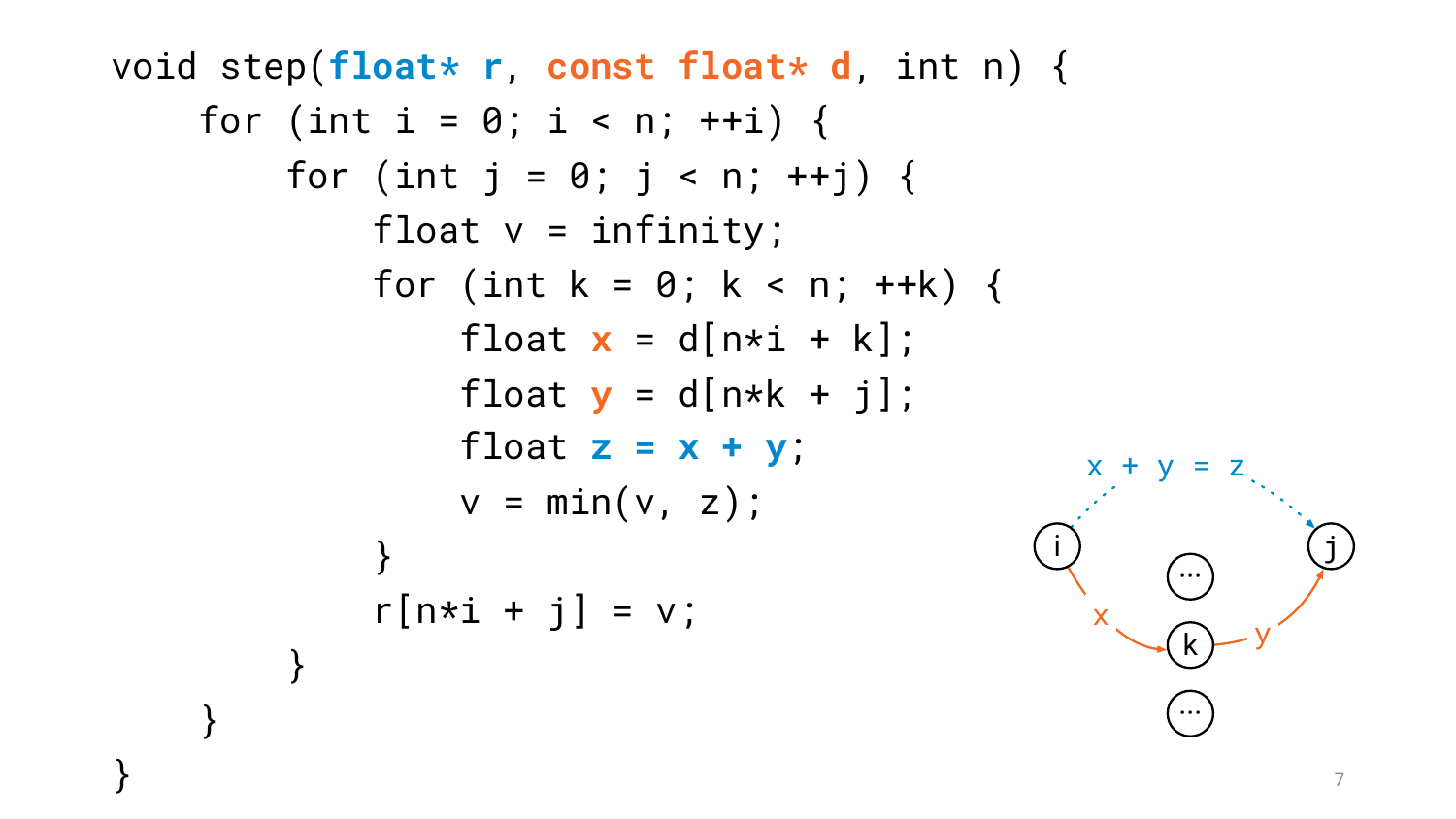```
void step(float* r, const float* d, int n) {
    for (int i = 0; i < n; +i) {
        for (int j = 0; j < n; ++j) {
            float v = infinity;
            for (int k = 0; k < n; ++k) {
                 float x = d[n * i + k];
                 float y = d[n*k + j];
                 float z = x + y;
                 v = min(v, z);}
             r[n*1 + j] = v;}
    }
                                                x
                                                        y
                                                x + y = zi ) \bigcap (j
                                                     ···
                                                     k
                                                     ···
```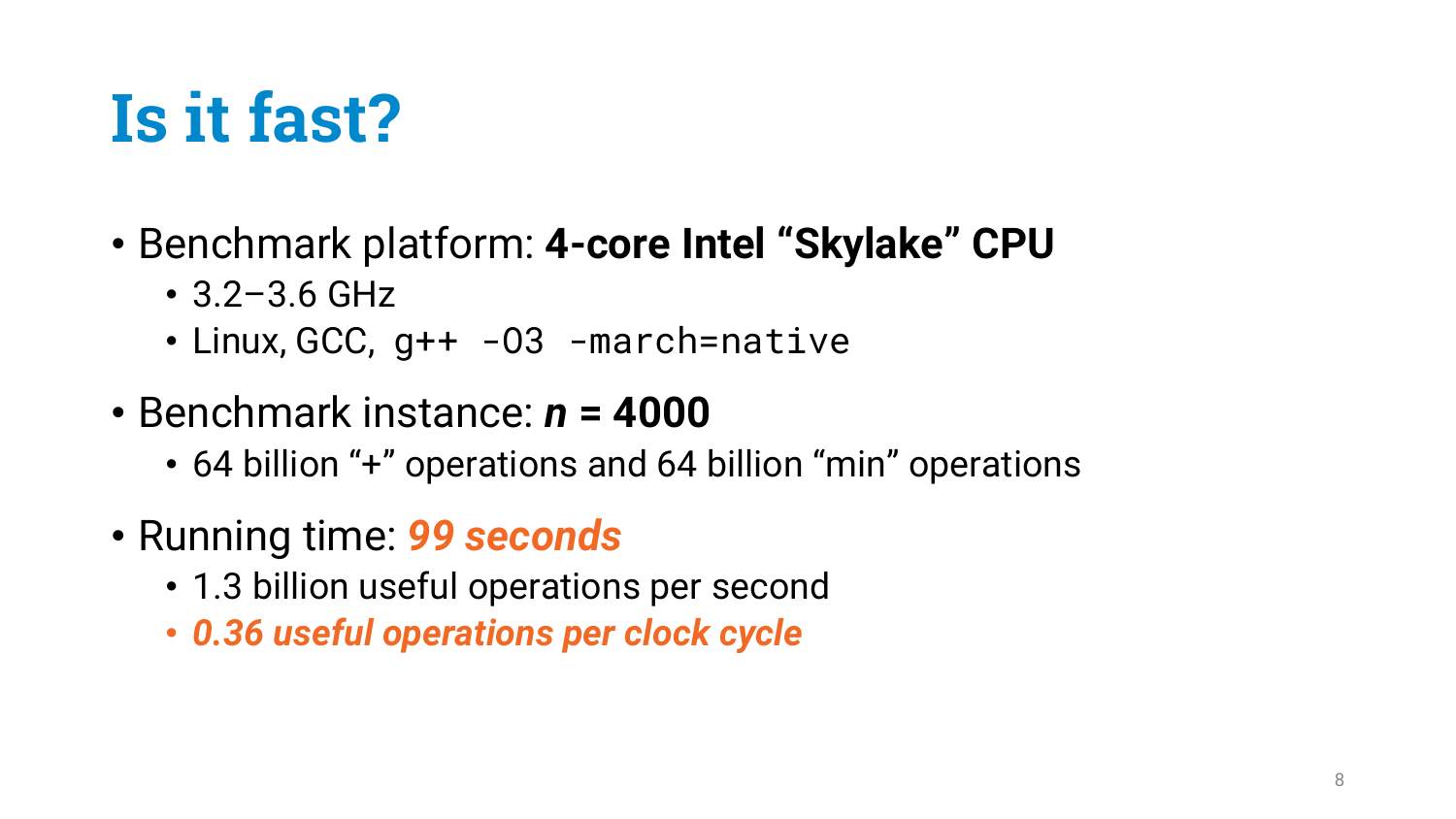# **Is it fast?**

- Benchmark platform: **4-core Intel "Skylake" CPU**
	- 3.2–3.6 GHz
	- Linux, GCC, g++ -03 -march=native
- Benchmark instance: *n* **= 4000**
	- 64 billion "+" operations and 64 billion "min" operations
- Running time: *99 seconds*
	- 1.3 billion useful operations per second
	- *0.36 useful operations per clock cycle*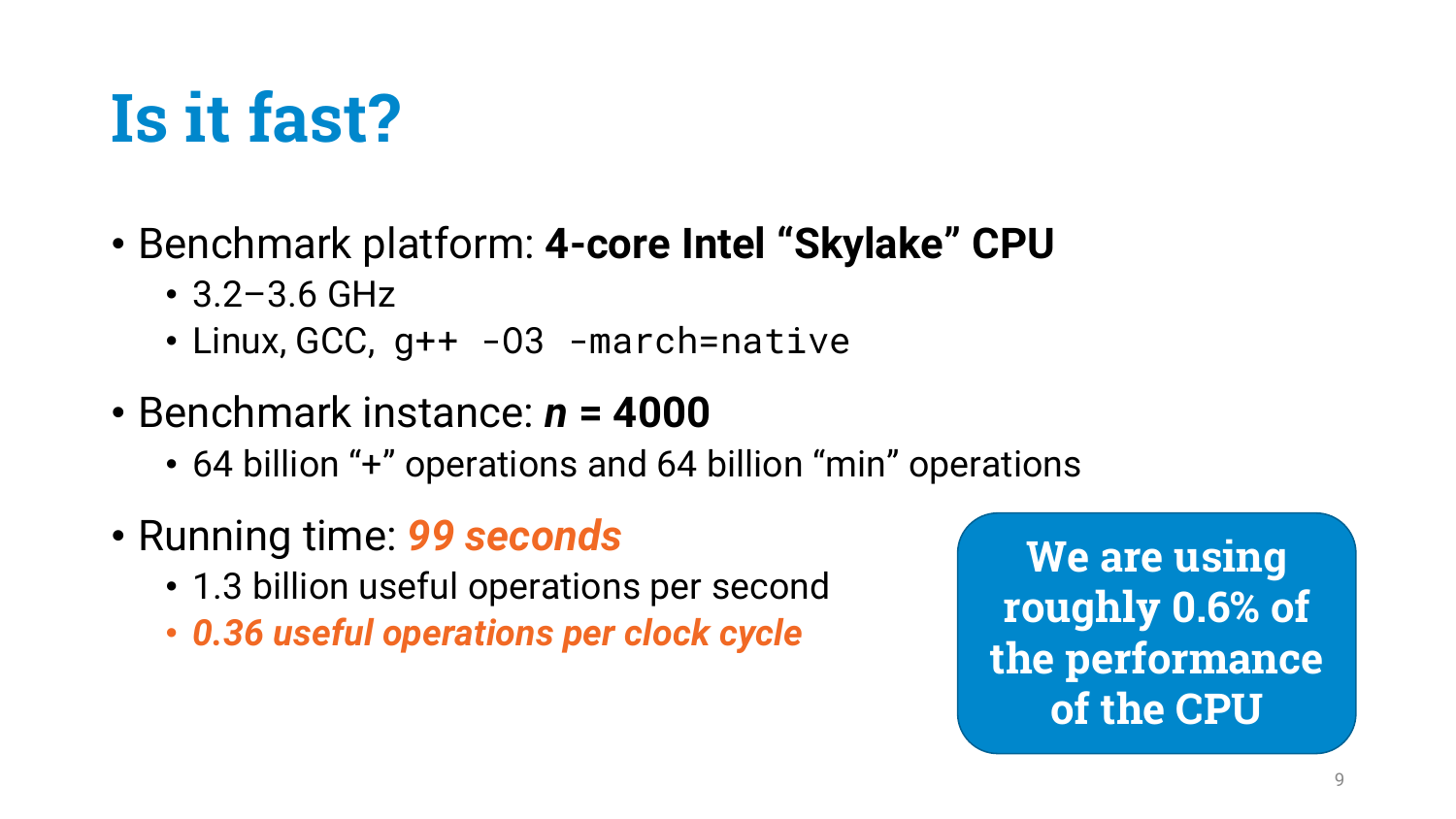# **Is it fast?**

- Benchmark platform: **4-core Intel "Skylake" CPU**
	- 3.2–3.6 GHz
	- Linux, GCC, g++ -03 -march=native
- Benchmark instance: *n* **= 4000**
	- 64 billion "+" operations and 64 billion "min" operations
- Running time: *99 seconds*
	- 1.3 billion useful operations per second
	- *0.36 useful operations per clock cycle*

**We are using roughly 0.6% of the performance of the CPU**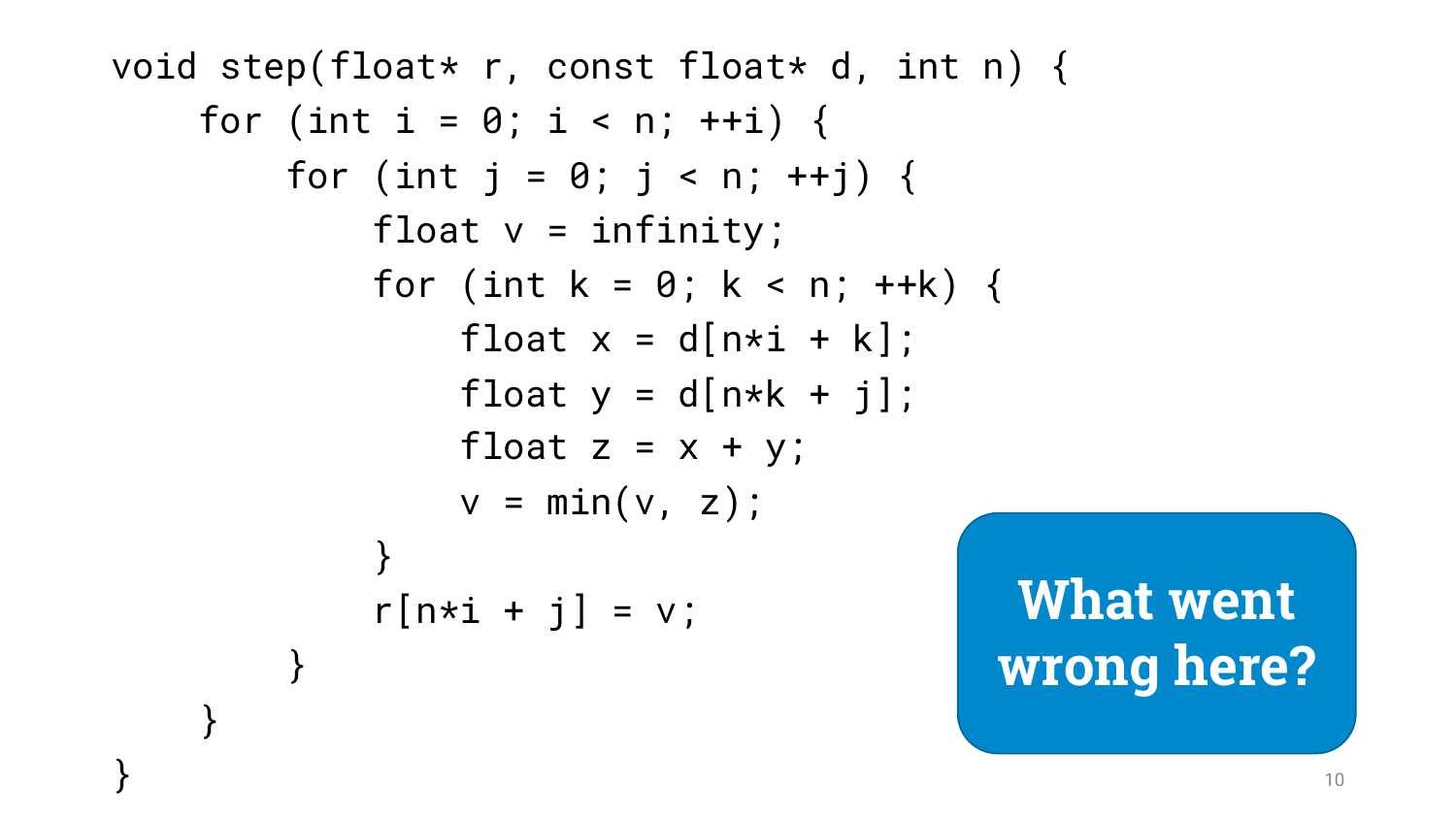```
void step(float* r, const float* d, int n) {
    for (int i = 0; i < n; ++i) {
        for (int j = 0; j < n; ++j) {
            float v = infinity;
            for (int k = 0; k < n; ++k) {
                float x = d[n * i + k];
                float y = d[n*k + j];
                float z = x + y;
               v = min(v, z);}
            r[n*1 + j] = v;}
    }
                                         What went
                                         wrong here?
```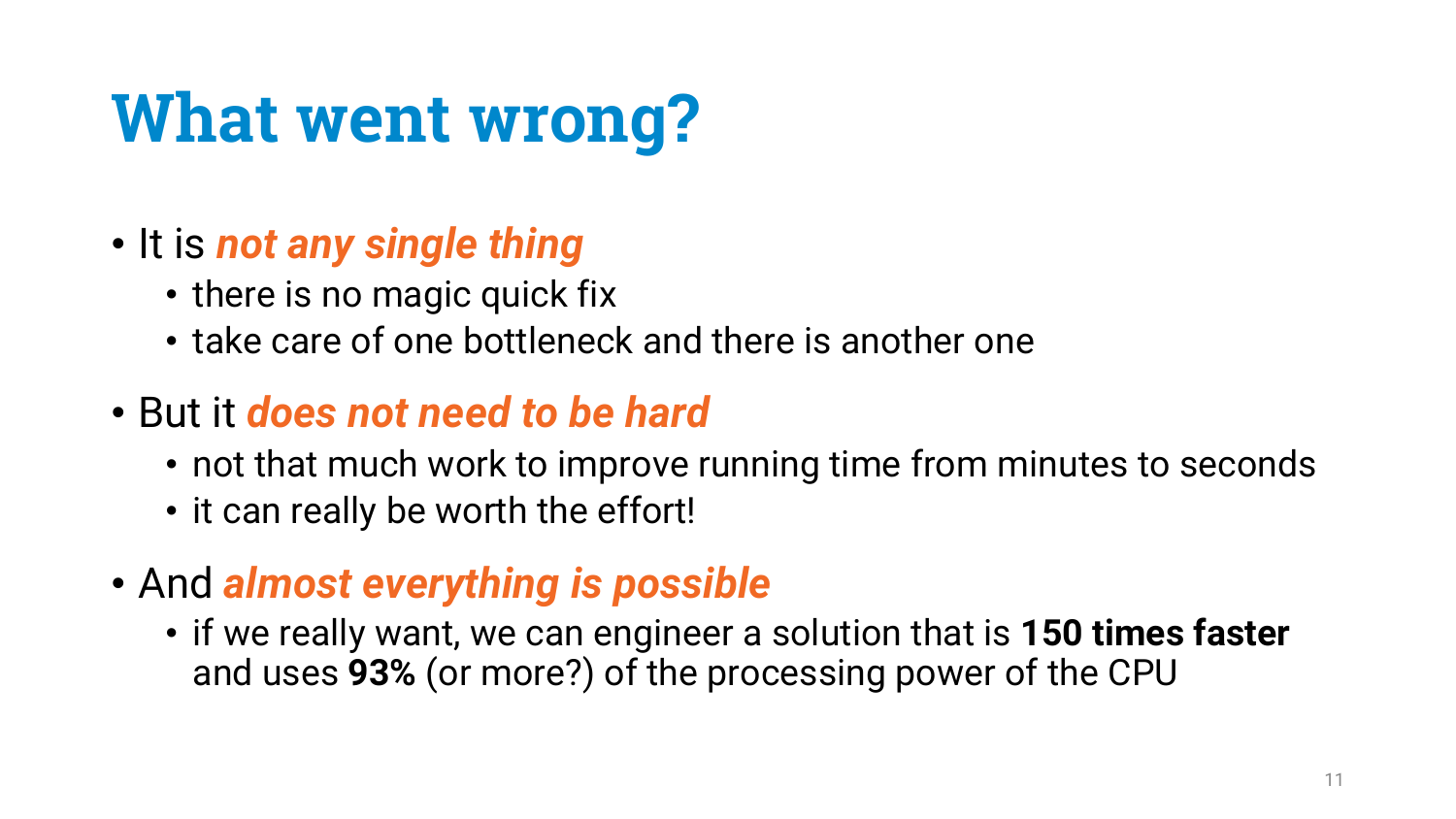# **What went wrong?**

- It is *not any single thing*
	- there is no magic quick fix
	- take care of one bottleneck and there is another one
- But it *does not need to be hard*
	- not that much work to improve running time from minutes to seconds
	- it can really be worth the effort!
- And *almost everything is possible*
	- if we really want, we can engineer a solution that is **150 times faster**  and uses **93%** (or more?) of the processing power of the CPU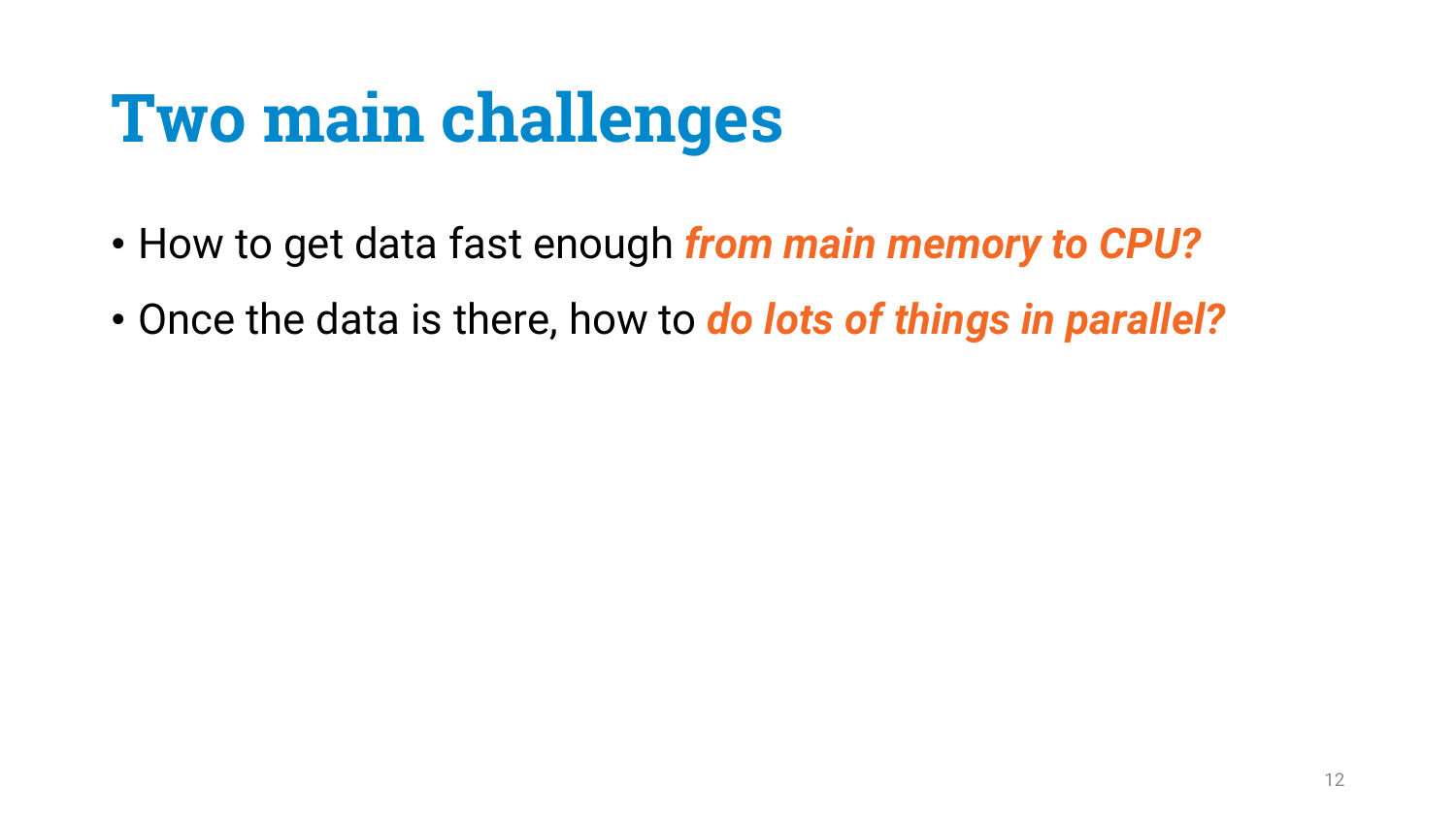# **Two main challenges**

- How to get data fast enough *from main memory to CPU?*
- Once the data is there, how to *do lots of things in parallel?*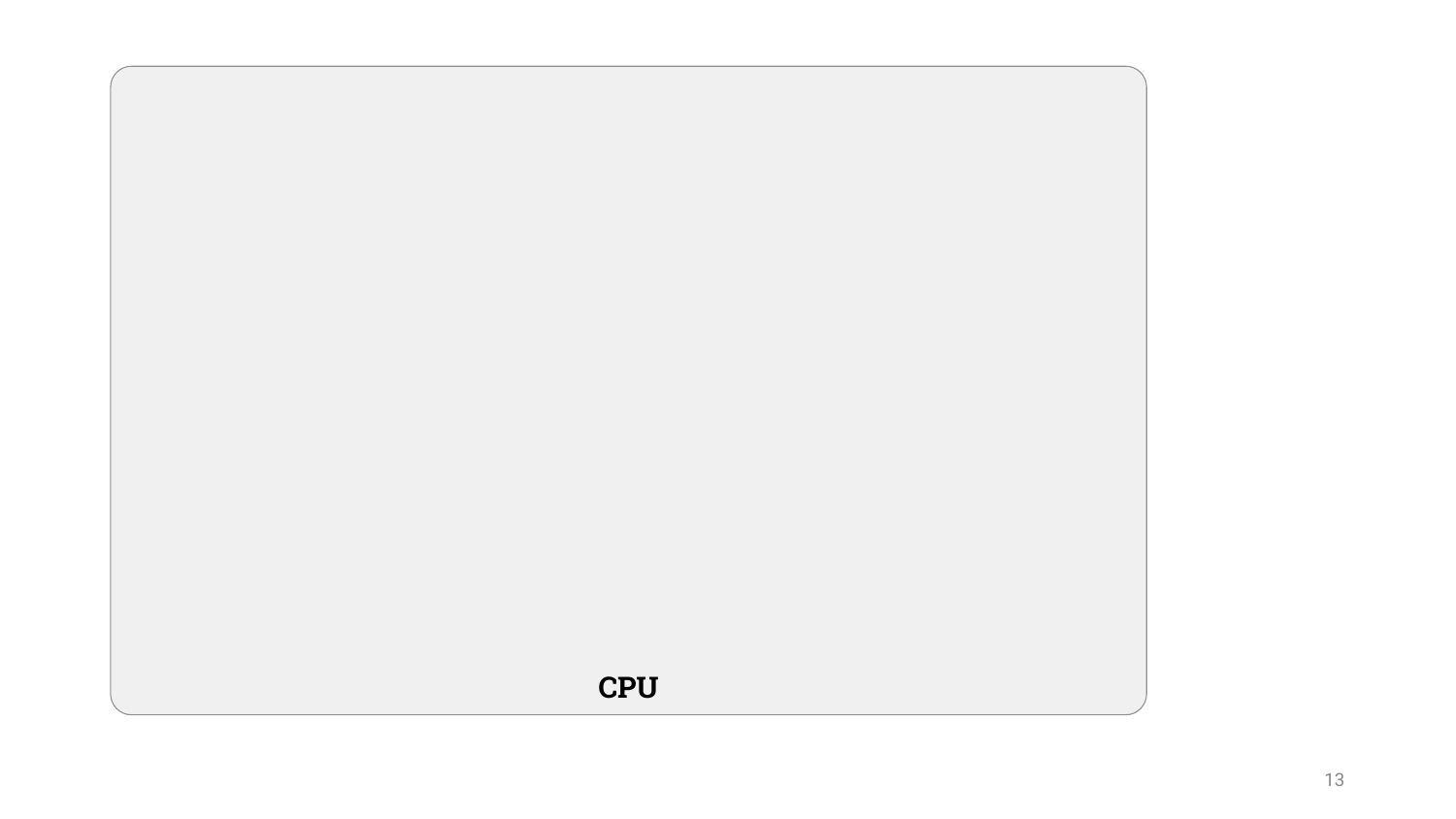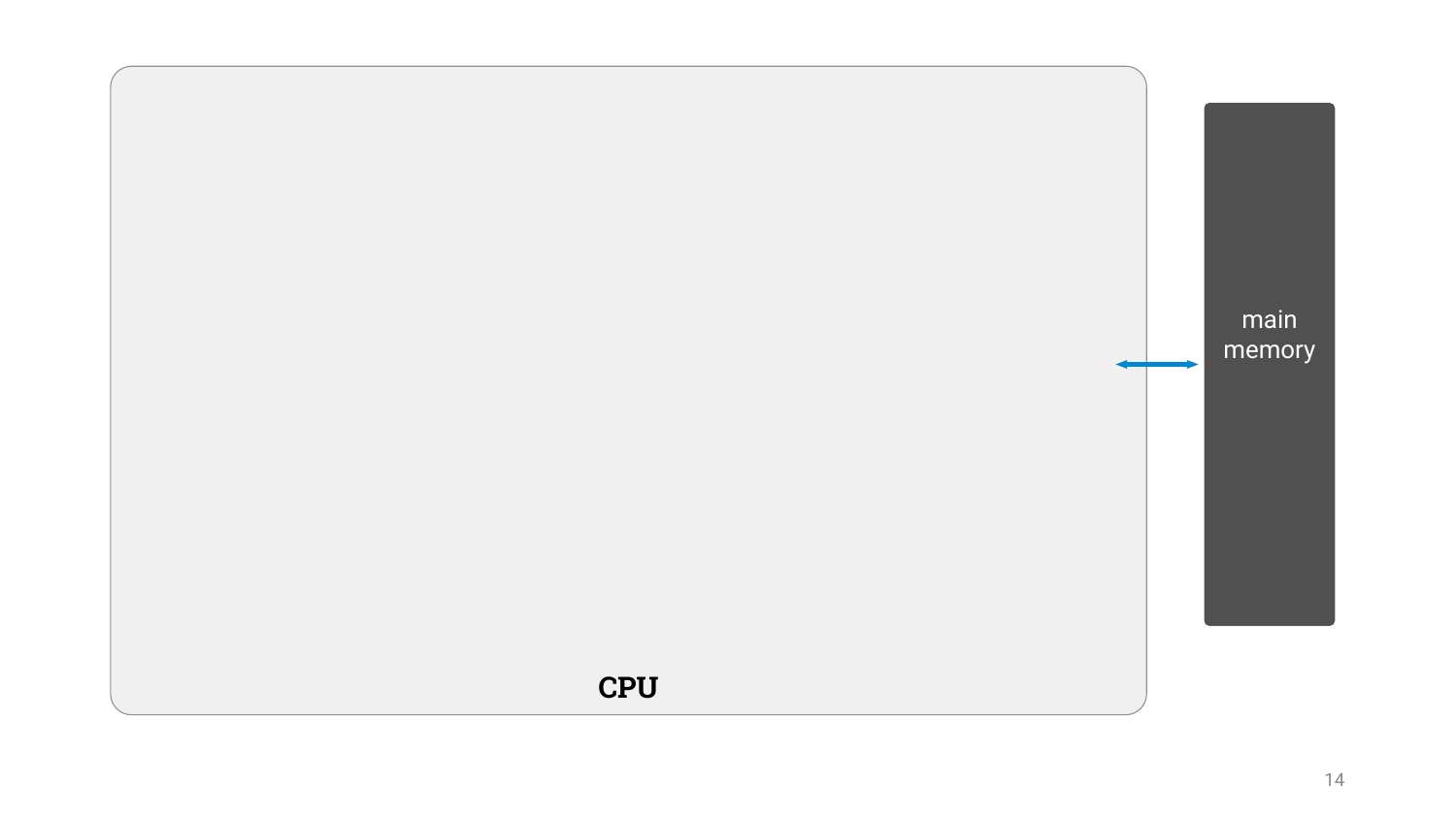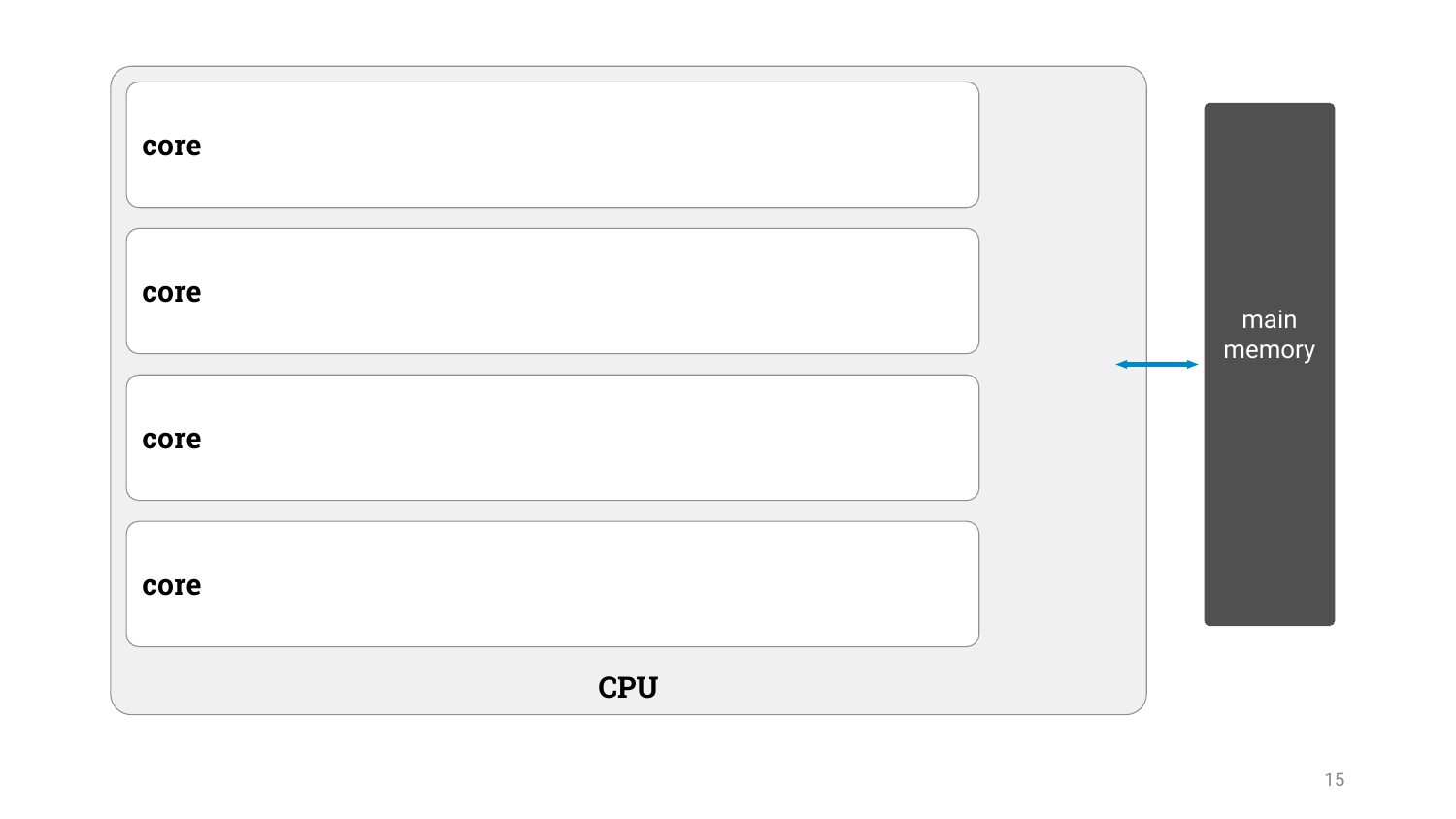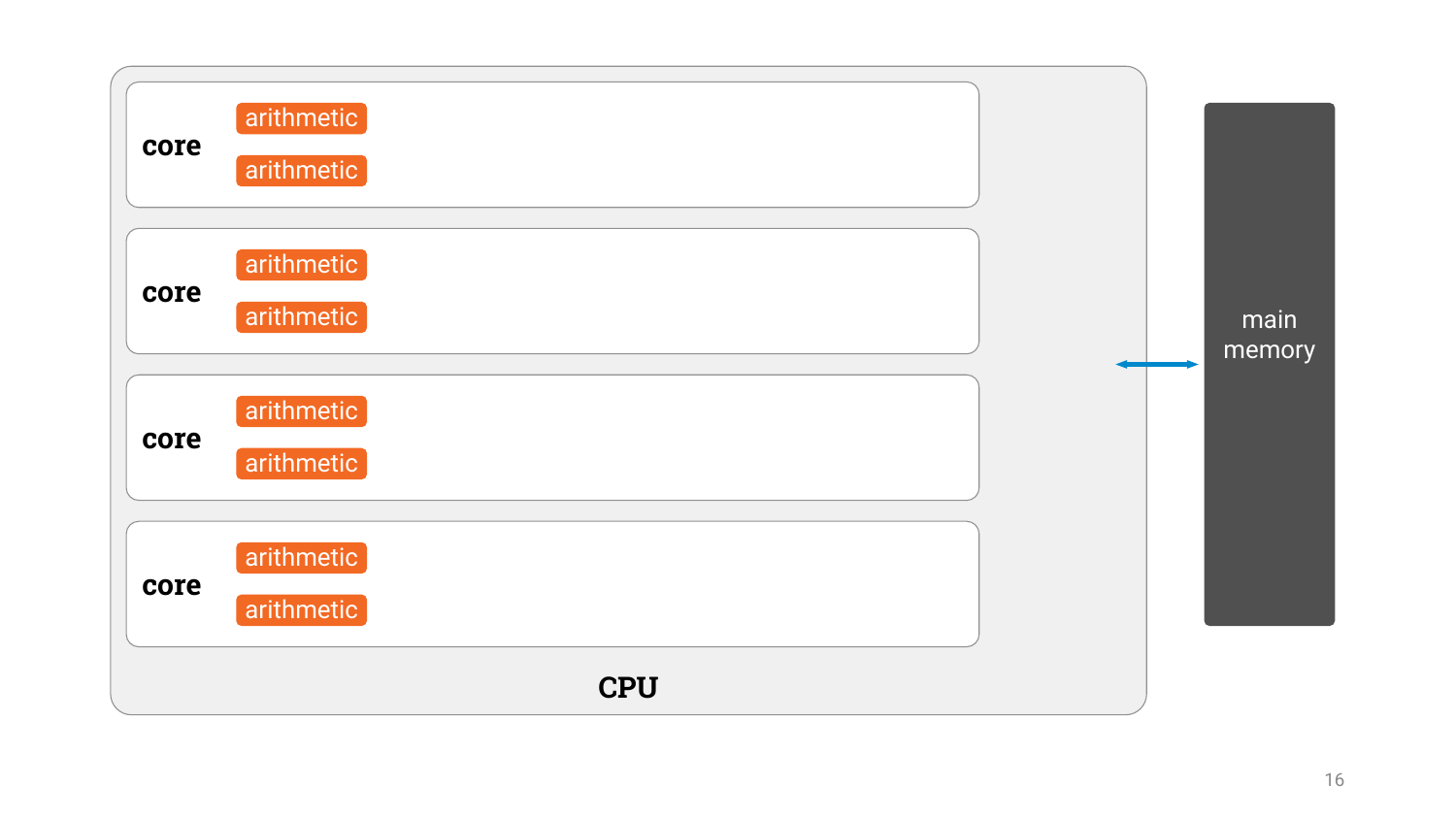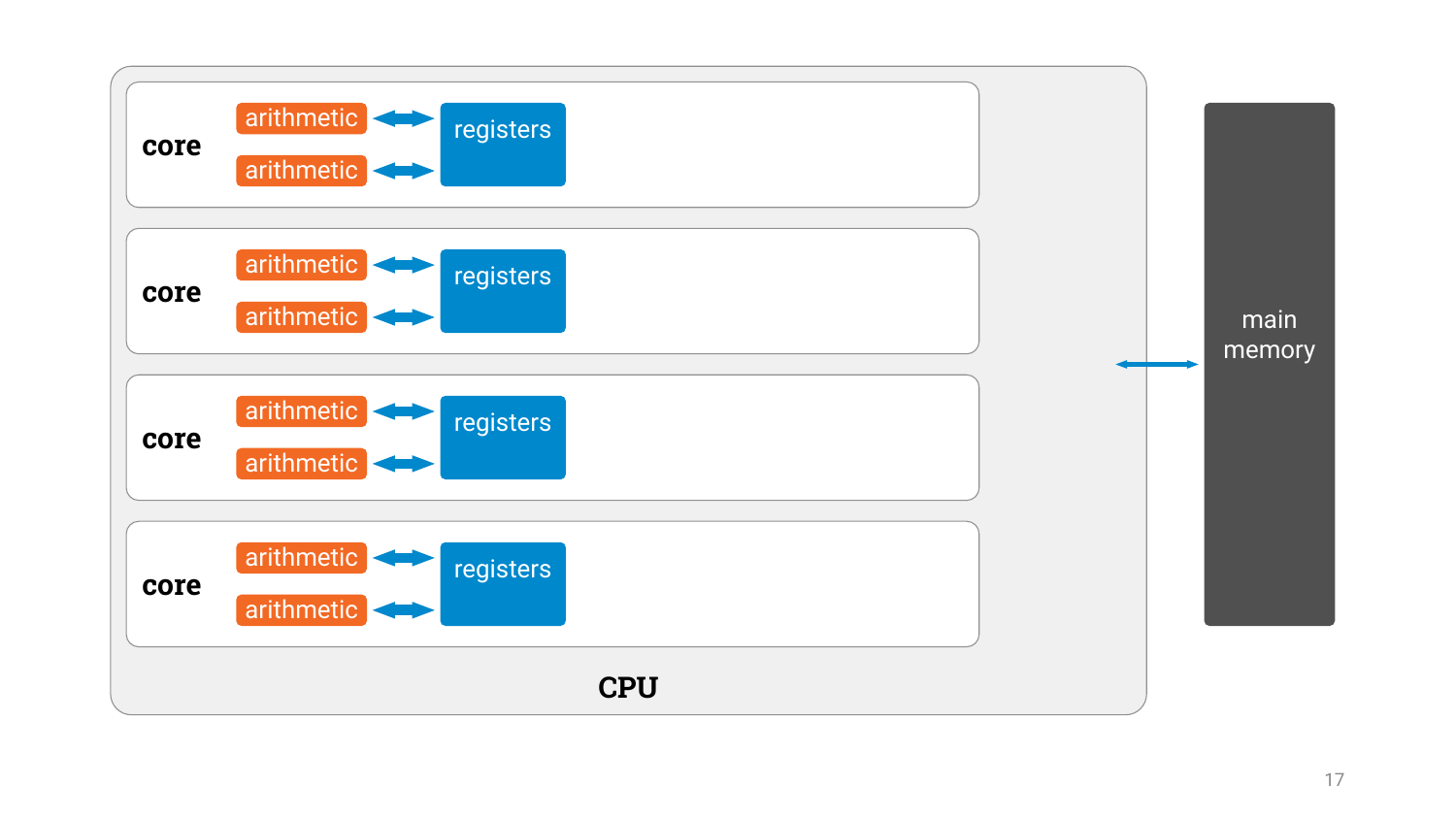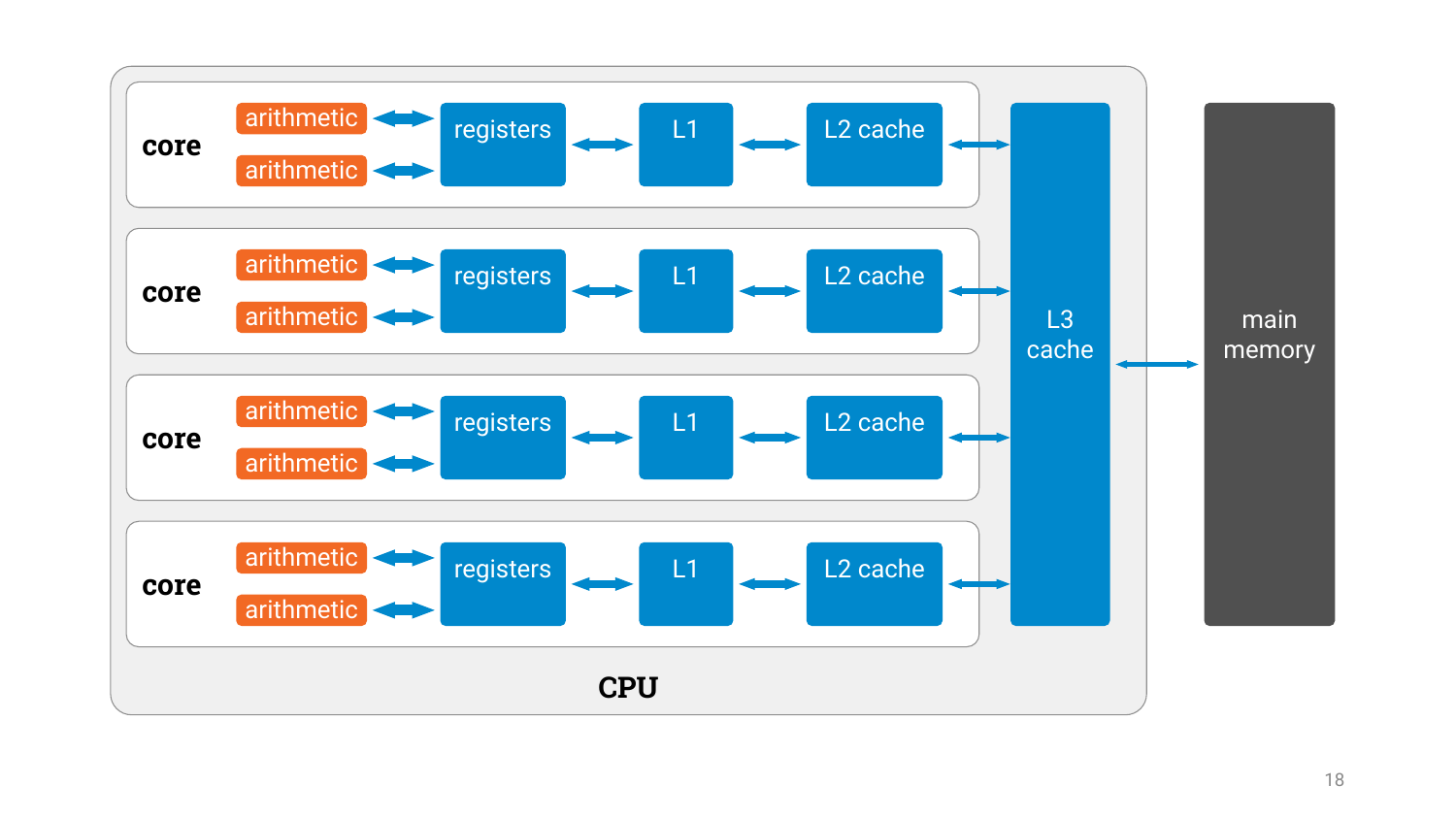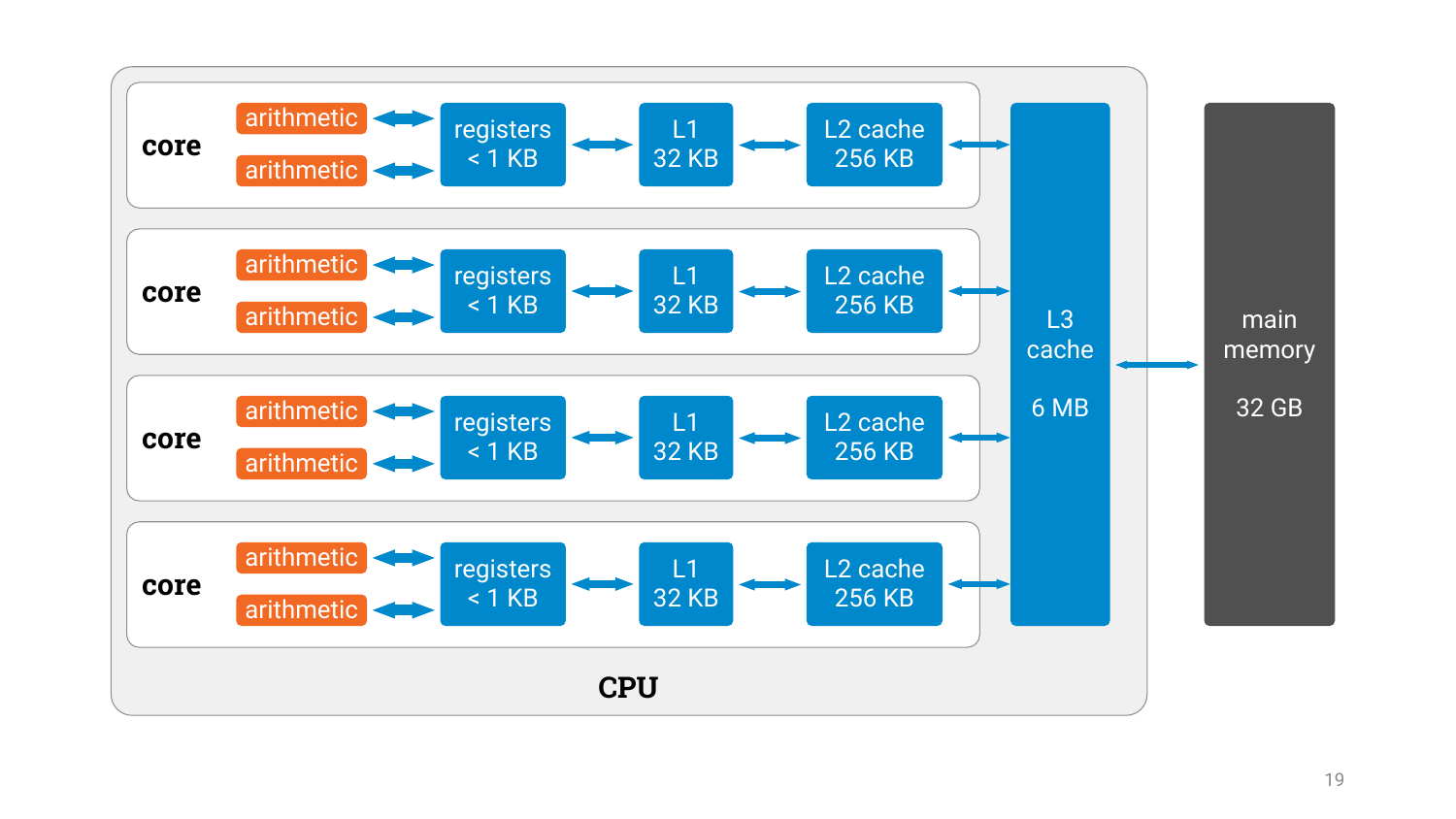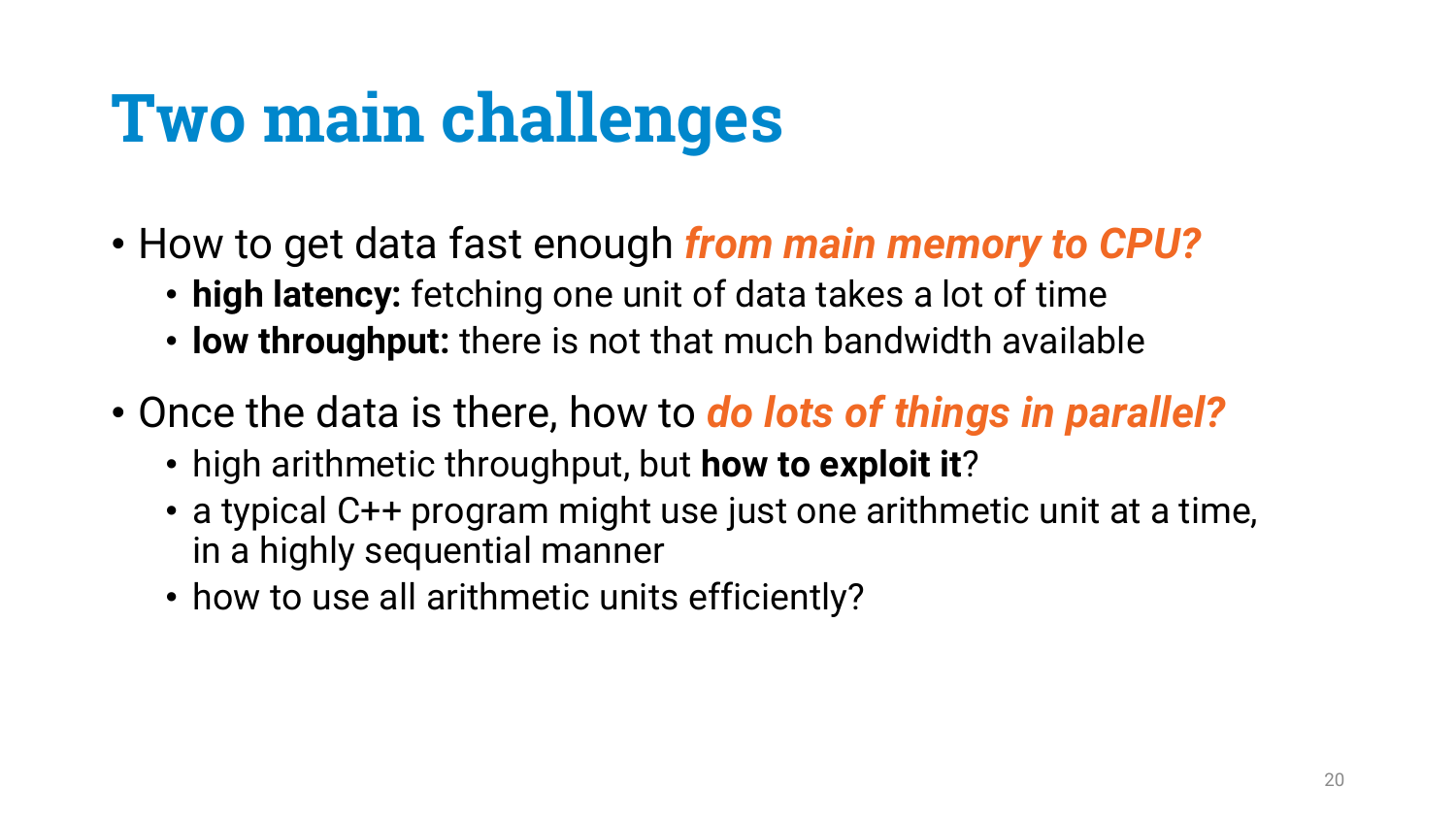# **Two main challenges**

- How to get data fast enough *from main memory to CPU?*
	- **high latency:** fetching one unit of data takes a lot of time
	- **low throughput:** there is not that much bandwidth available
- Once the data is there, how to *do lots of things in parallel?*
	- high arithmetic throughput, but **how to exploit it**?
	- a typical C++ program might use just one arithmetic unit at a time, in a highly sequential manner
	- how to use all arithmetic units efficiently?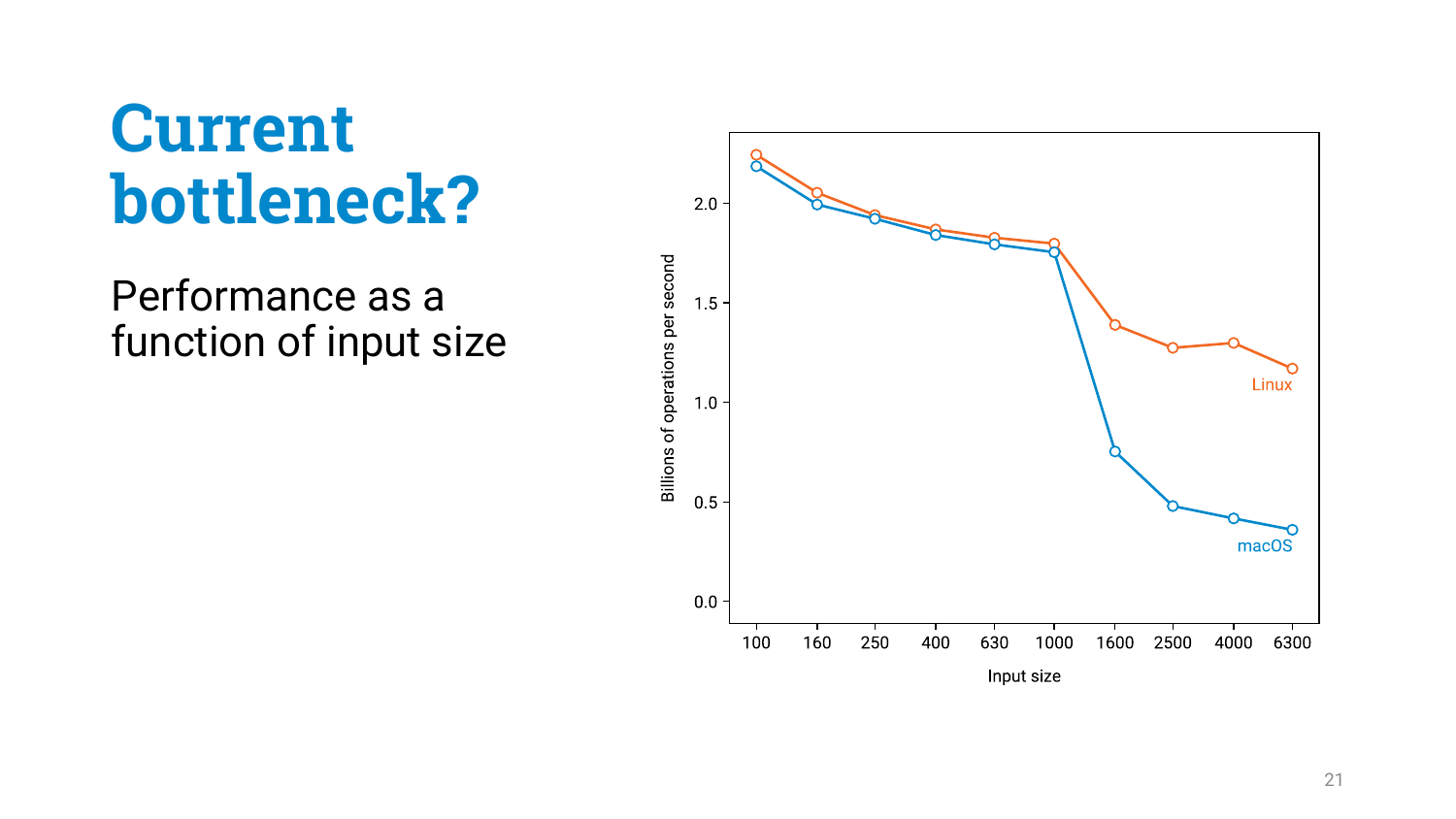Performance as a function of input size

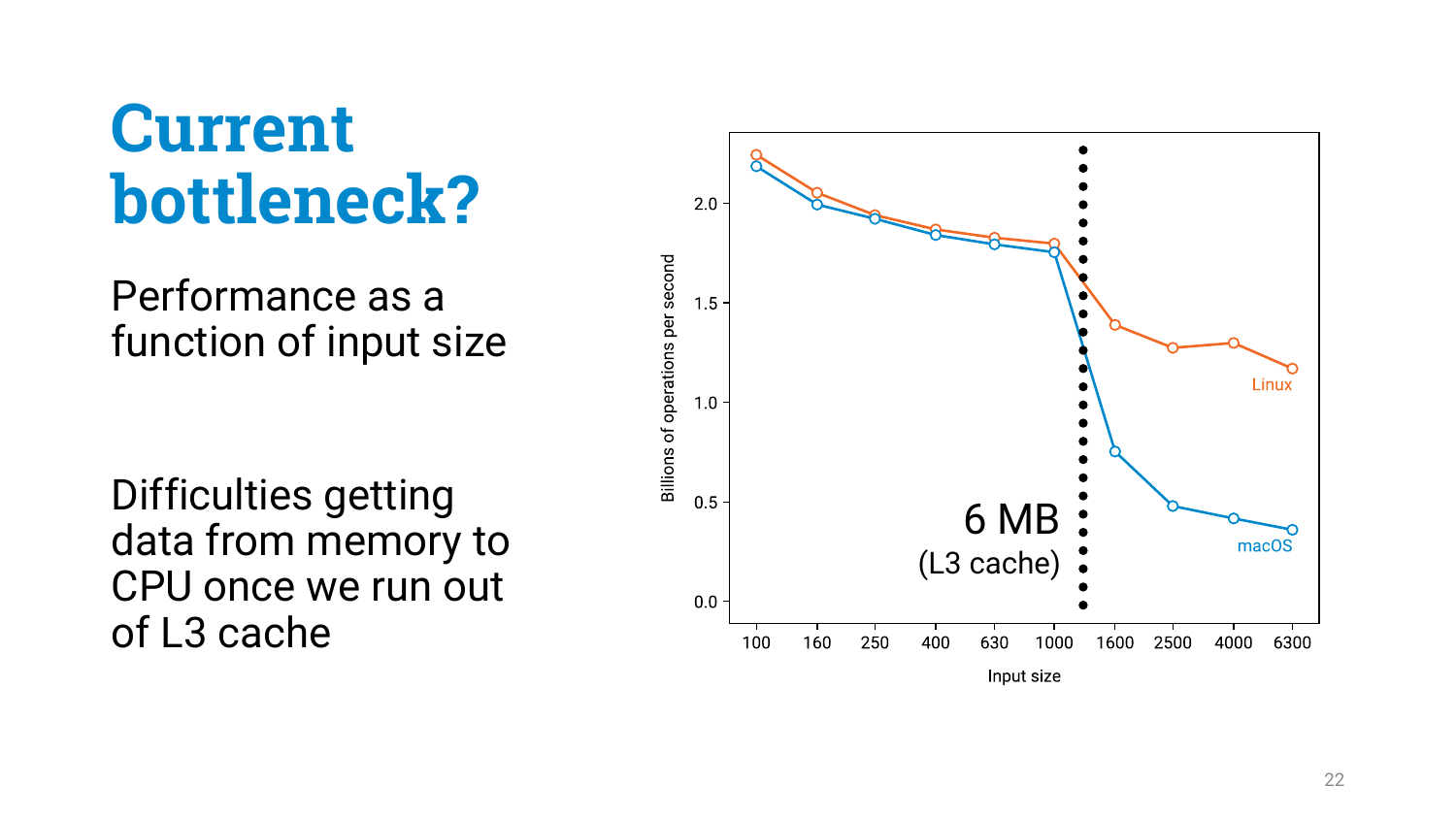Performance as a function of input size

Difficulties getting data from memory to CPU once we run out of L3 cache

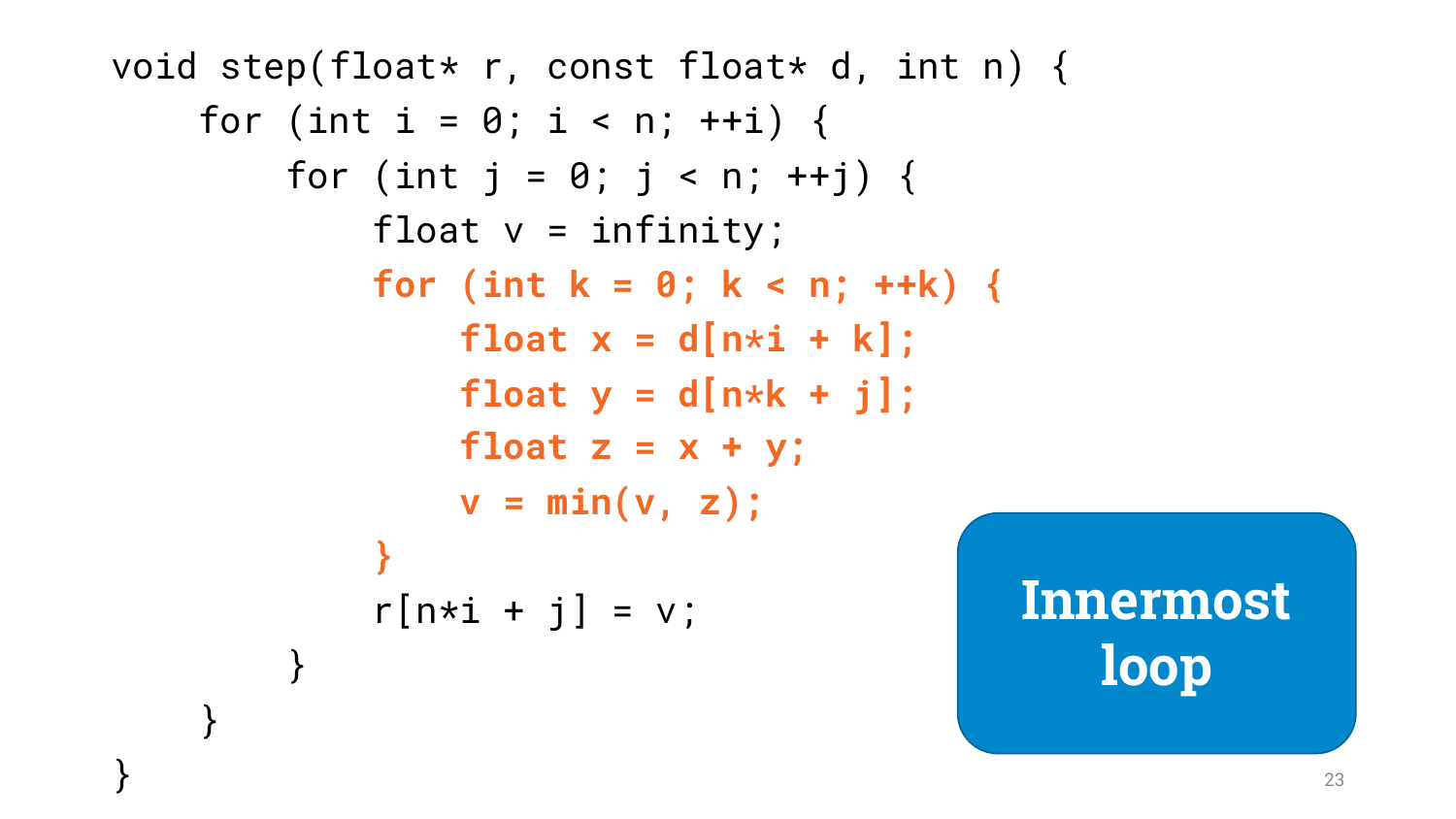```
void step(float* r, const float* d, int n) {
    for (int i = 0; i < n; ++i) {
        for (int j = 0; j < n; ++j) {
            float v = infinity;
            for (int k = 0; k < n; ++k) {
                float x = d[n*i + k];
                float y = d[n*k + j];
                float z = x + y;
                v = min(v, z);
            }
            r[n*1 + j] = v;}
    }
                                           Innermost
```
**loop**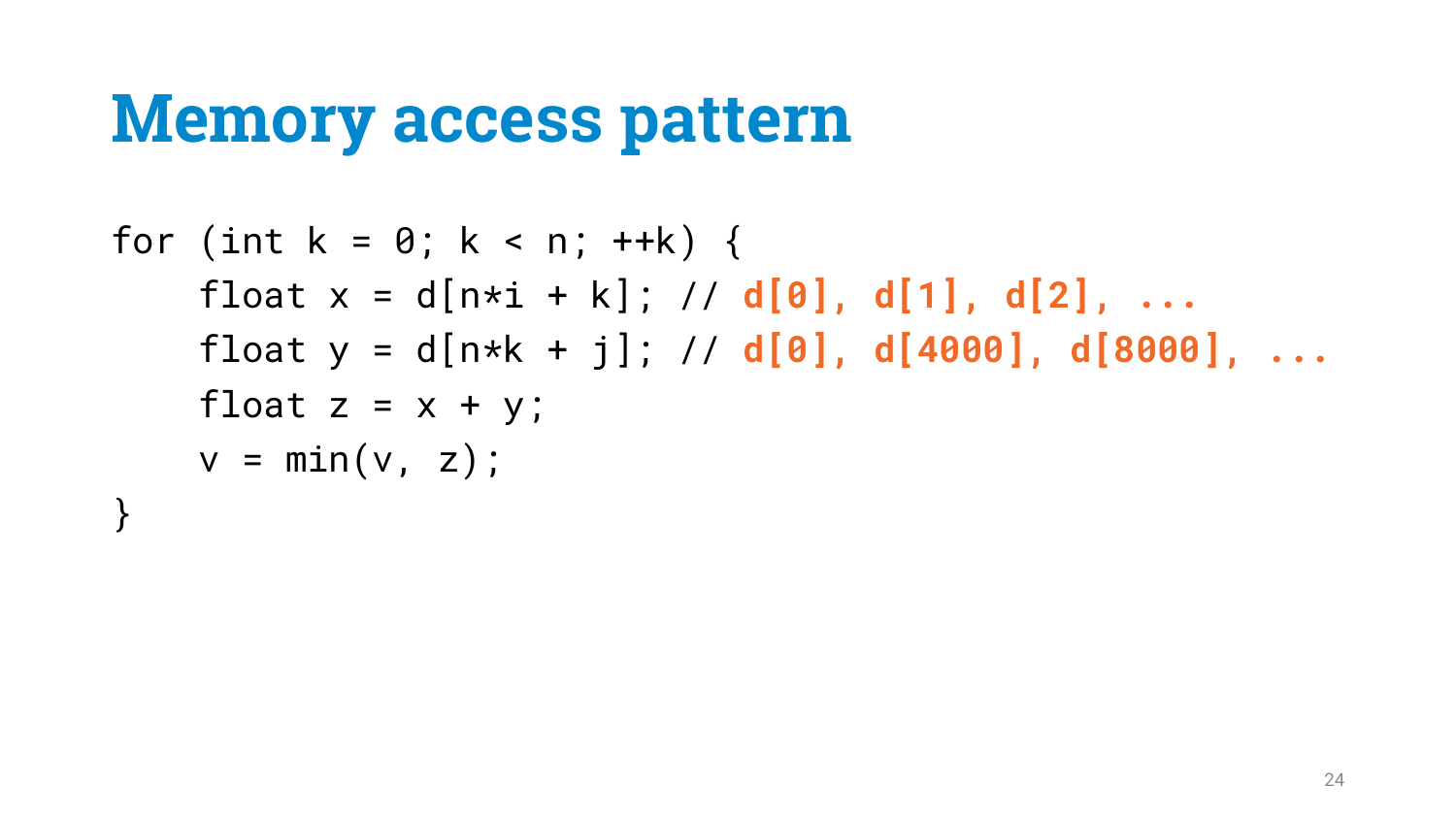# **Memory access pattern**

#### for (int  $k = 0$ ;  $k < n$ ;  $++k$ ) { float x = d[n\*i + k]; // **d[0], d[1], d[2], ...** float  $y = d[n*k + j]; // d[0], d[4000], d[8000], ...$ float  $z = x + y$ ;  $v = min(v, z);$ }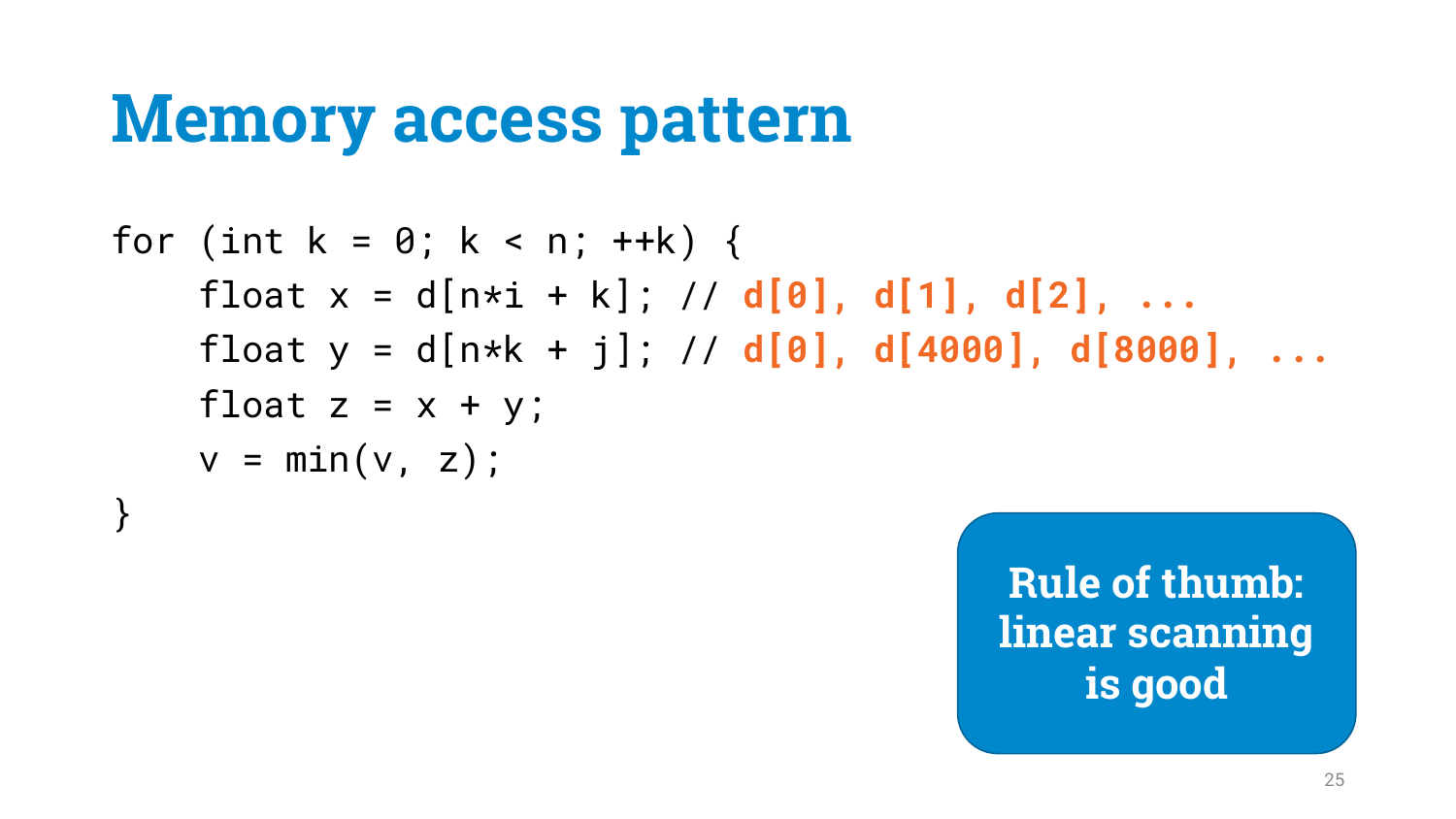# **Memory access pattern**

```
for (int k = 0; k < n; ++k) {
    float x = d[n*i + k]; // d[0], d[1], d[2], ...
    float y = d[n*k + j]; // d[0], d[4000], d[8000], ...float z = x + y;
   v = min(v, z);
}
```
**Rule of thumb: linear scanning is good**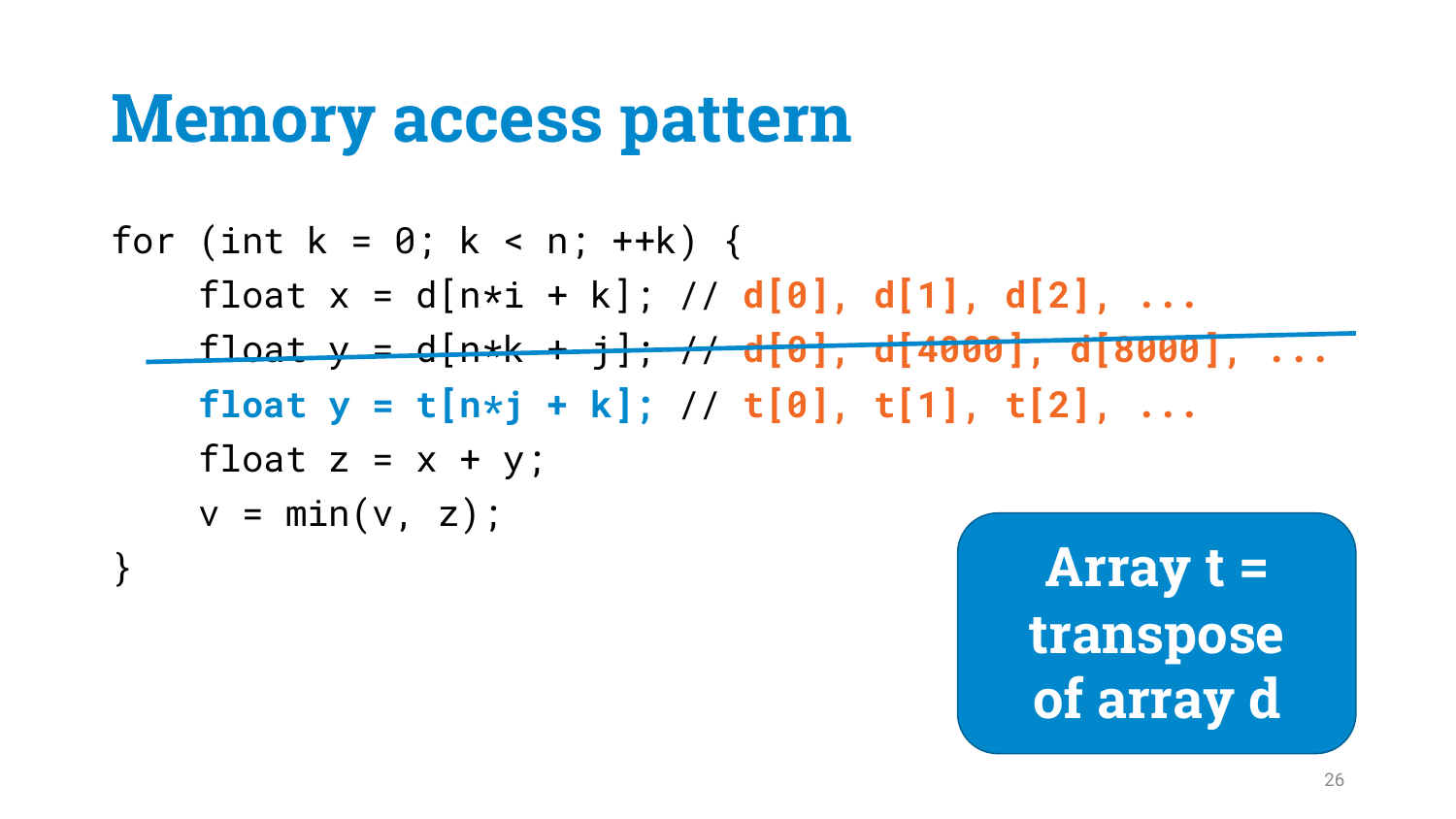# **Memory access pattern**

for (int k = 0; k < n; ++k) { float x = d[n\*i + k]; // **d[0], d[1], d[2], ...** float y = d[n\*k + j]; // **d[0], d[4000], d[8000], ... float y = t[n\*j + k];** // **t[0], t[1], t[2], ...** float z = x + y; v = min(v, z); }

**Array t = transpose of array d**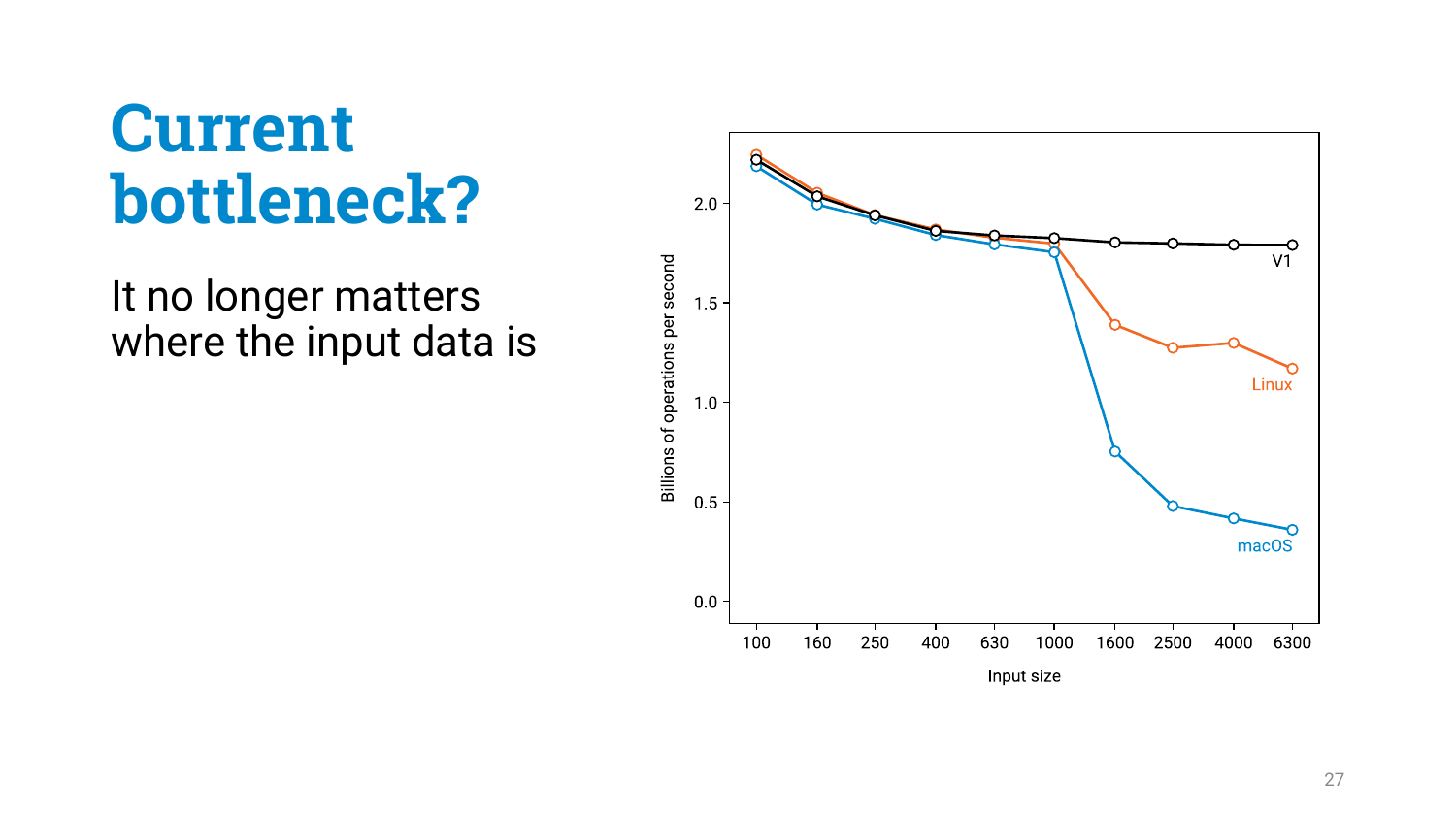It no longer matters where the input data is